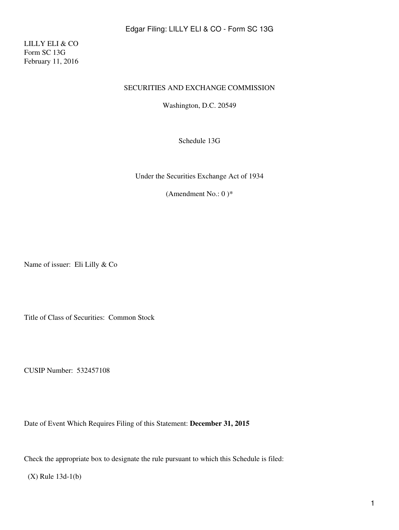Edgar Filing: LILLY ELI & CO - Form SC 13G

LILLY ELI & CO Form SC 13G February 11, 2016

#### SECURITIES AND EXCHANGE COMMISSION

Washington, D.C. 20549

Schedule 13G

Under the Securities Exchange Act of 1934

(Amendment No.: 0) $*$ 

Name of issuer: Eli Lilly & Co

Title of Class of Securities: Common Stock

CUSIP Number: 532457108

Date of Event Which Requires Filing of this Statement: **December 31, 2015**

Check the appropriate box to designate the rule pursuant to which this Schedule is filed:

(X) Rule 13d-1(b)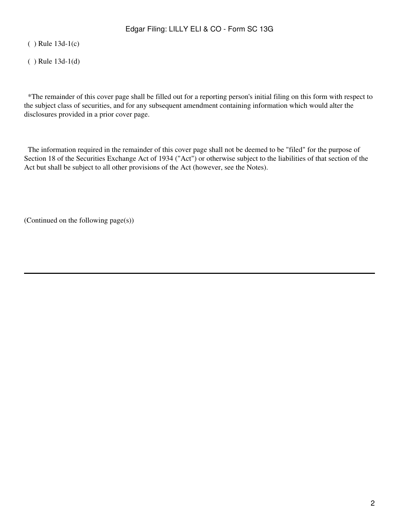( ) Rule 13d-1(c)

( ) Rule 13d-1(d)

 \*The remainder of this cover page shall be filled out for a reporting person's initial filing on this form with respect to the subject class of securities, and for any subsequent amendment containing information which would alter the disclosures provided in a prior cover page.

 The information required in the remainder of this cover page shall not be deemed to be "filed" for the purpose of Section 18 of the Securities Exchange Act of 1934 ("Act") or otherwise subject to the liabilities of that section of the Act but shall be subject to all other provisions of the Act (however, see the Notes).

(Continued on the following page(s))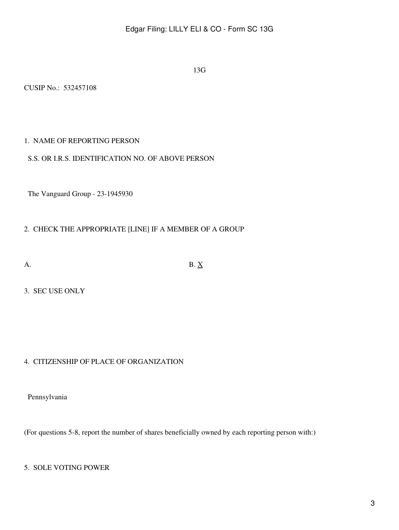13G

CUSIP No.: 532457108

## 1. NAME OF REPORTING PERSON

#### S.S. OR I.R.S. IDENTIFICATION NO. OF ABOVE PERSON

The Vanguard Group - 23-1945930

# 2. CHECK THE APPROPRIATE [LINE] IF A MEMBER OF A GROUP

A. B.  $\underline{X}$ 

3. SEC USE ONLY

# 4. CITIZENSHIP OF PLACE OF ORGANIZATION

Pennsylvania

(For questions 5-8, report the number of shares beneficially owned by each reporting person with:)

## 5. SOLE VOTING POWER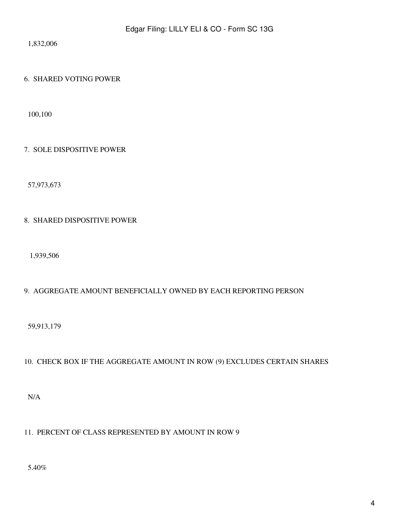1,832,006

#### 6. SHARED VOTING POWER

100,100

#### 7. SOLE DISPOSITIVE POWER

57,973,673

## 8. SHARED DISPOSITIVE POWER

1,939,506

# 9. AGGREGATE AMOUNT BENEFICIALLY OWNED BY EACH REPORTING PERSON

59,913,179

# 10. CHECK BOX IF THE AGGREGATE AMOUNT IN ROW (9) EXCLUDES CERTAIN SHARES

N/A

# 11. PERCENT OF CLASS REPRESENTED BY AMOUNT IN ROW 9

5.40%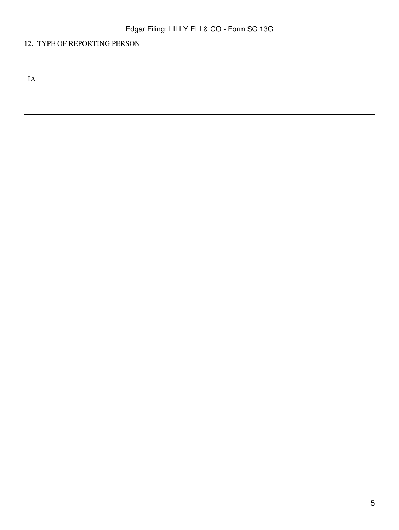# 12. TYPE OF REPORTING PERSON

IA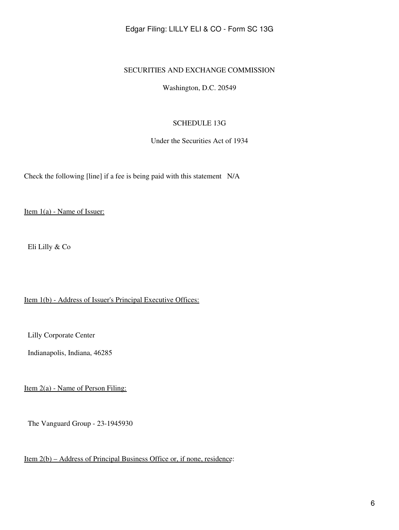## Edgar Filing: LILLY ELI & CO - Form SC 13G

#### SECURITIES AND EXCHANGE COMMISSION

Washington, D.C. 20549

#### SCHEDULE 13G

Under the Securities Act of 1934

Check the following [line] if a fee is being paid with this statement N/A

Item 1(a) - Name of Issuer:

Eli Lilly & Co

Item 1(b) - Address of Issuer's Principal Executive Offices:

Lilly Corporate Center

Indianapolis, Indiana, 46285

Item 2(a) - Name of Person Filing:

The Vanguard Group - 23-1945930

Item 2(b) – Address of Principal Business Office or, if none, residence: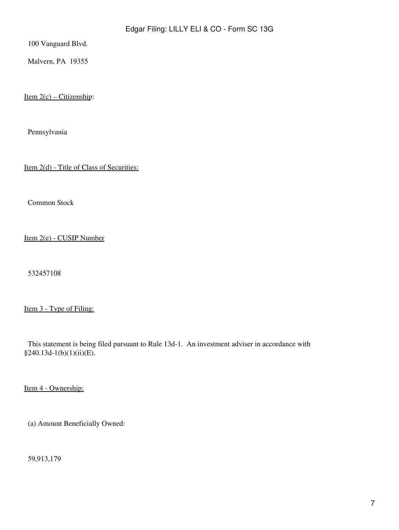100 Vanguard Blvd.

Malvern, PA 19355

Item  $2(c)$  – Citizenship:

Pennsylvania

Item 2(d) - Title of Class of Securities:

Common Stock

Item 2(e) - CUSIP Number

532457108

Item 3 - Type of Filing:

 This statement is being filed pursuant to Rule 13d-1. An investment adviser in accordance with §240.13d-1(b)(1)(ii)(E).

Item 4 - Ownership:

(a) Amount Beneficially Owned:

59,913,179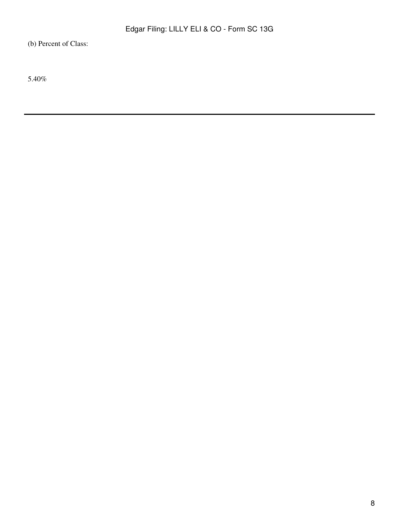(b) Percent of Class:

5.40%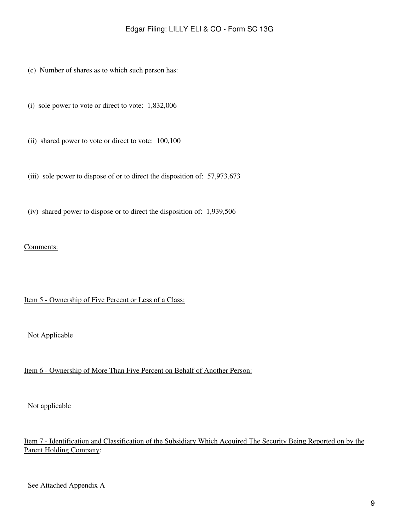- (c) Number of shares as to which such person has:
- (i) sole power to vote or direct to vote: 1,832,006
- (ii) shared power to vote or direct to vote: 100,100
- (iii) sole power to dispose of or to direct the disposition of: 57,973,673
- (iv) shared power to dispose or to direct the disposition of: 1,939,506

#### Comments:

#### Item 5 - Ownership of Five Percent or Less of a Class:

Not Applicable

# Item 6 - Ownership of More Than Five Percent on Behalf of Another Person:

Not applicable

# Item 7 - Identification and Classification of the Subsidiary Which Acquired The Security Being Reported on by the Parent Holding Company: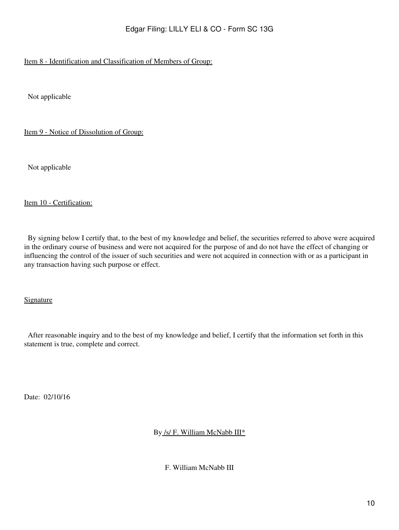# Item 8 - Identification and Classification of Members of Group:

Not applicable

Item 9 - Notice of Dissolution of Group:

Not applicable

#### Item 10 - Certification:

 By signing below I certify that, to the best of my knowledge and belief, the securities referred to above were acquired in the ordinary course of business and were not acquired for the purpose of and do not have the effect of changing or influencing the control of the issuer of such securities and were not acquired in connection with or as a participant in any transaction having such purpose or effect.

Signature

 After reasonable inquiry and to the best of my knowledge and belief, I certify that the information set forth in this statement is true, complete and correct.

Date: 02/10/16

By /s/ F. William McNabb III\*

F. William McNabb III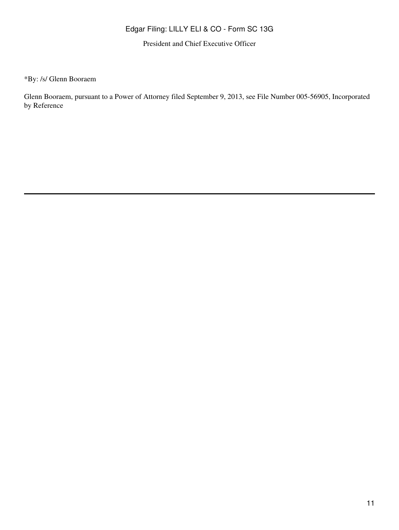# Edgar Filing: LILLY ELI & CO - Form SC 13G

President and Chief Executive Officer

\*By: /s/ Glenn Booraem

Glenn Booraem, pursuant to a Power of Attorney filed September 9, 2013, see File Number 005-56905, Incorporated by Reference